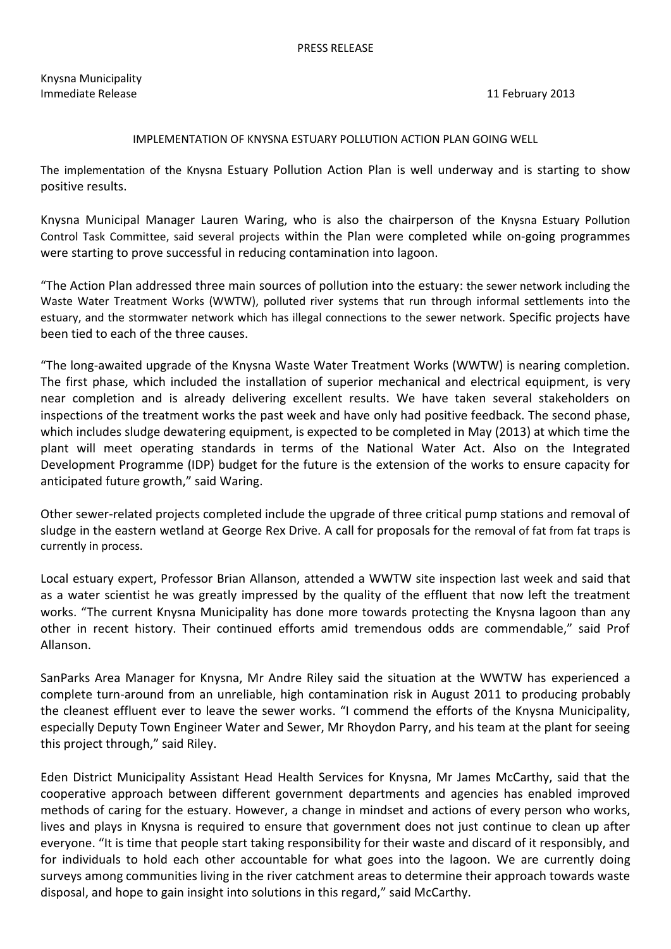Knysna Municipality Immediate Release 11 February 2013

## IMPLEMENTATION OF KNYSNA ESTUARY POLLUTION ACTION PLAN GOING WELL

The implementation of the Knysna Estuary Pollution Action Plan is well underway and is starting to show positive results.

Knysna Municipal Manager Lauren Waring, who is also the chairperson of the Knysna Estuary Pollution Control Task Committee, said several projects within the Plan were completed while on-going programmes were starting to prove successful in reducing contamination into lagoon.

"The Action Plan addressed three main sources of pollution into the estuary: the sewer network including the Waste Water Treatment Works (WWTW), polluted river systems that run through informal settlements into the estuary, and the stormwater network which has illegal connections to the sewer network. Specific projects have been tied to each of the three causes.

"The long-awaited upgrade of the Knysna Waste Water Treatment Works (WWTW) is nearing completion. The first phase, which included the installation of superior mechanical and electrical equipment, is very near completion and is already delivering excellent results. We have taken several stakeholders on inspections of the treatment works the past week and have only had positive feedback. The second phase, which includes sludge dewatering equipment, is expected to be completed in May (2013) at which time the plant will meet operating standards in terms of the National Water Act. Also on the Integrated Development Programme (IDP) budget for the future is the extension of the works to ensure capacity for anticipated future growth," said Waring.

Other sewer-related projects completed include the upgrade of three critical pump stations and removal of sludge in the eastern wetland at George Rex Drive. A call for proposals for the removal of fat from fat traps is currently in process.

Local estuary expert, Professor Brian Allanson, attended a WWTW site inspection last week and said that as a water scientist he was greatly impressed by the quality of the effluent that now left the treatment works. "The current Knysna Municipality has done more towards protecting the Knysna lagoon than any other in recent history. Their continued efforts amid tremendous odds are commendable," said Prof Allanson.

SanParks Area Manager for Knysna, Mr Andre Riley said the situation at the WWTW has experienced a complete turn-around from an unreliable, high contamination risk in August 2011 to producing probably the cleanest effluent ever to leave the sewer works. "I commend the efforts of the Knysna Municipality, especially Deputy Town Engineer Water and Sewer, Mr Rhoydon Parry, and his team at the plant for seeing this project through," said Riley.

Eden District Municipality Assistant Head Health Services for Knysna, Mr James McCarthy, said that the cooperative approach between different government departments and agencies has enabled improved methods of caring for the estuary. However, a change in mindset and actions of every person who works, lives and plays in Knysna is required to ensure that government does not just continue to clean up after everyone. "It is time that people start taking responsibility for their waste and discard of it responsibly, and for individuals to hold each other accountable for what goes into the lagoon. We are currently doing surveys among communities living in the river catchment areas to determine their approach towards waste disposal, and hope to gain insight into solutions in this regard," said McCarthy.